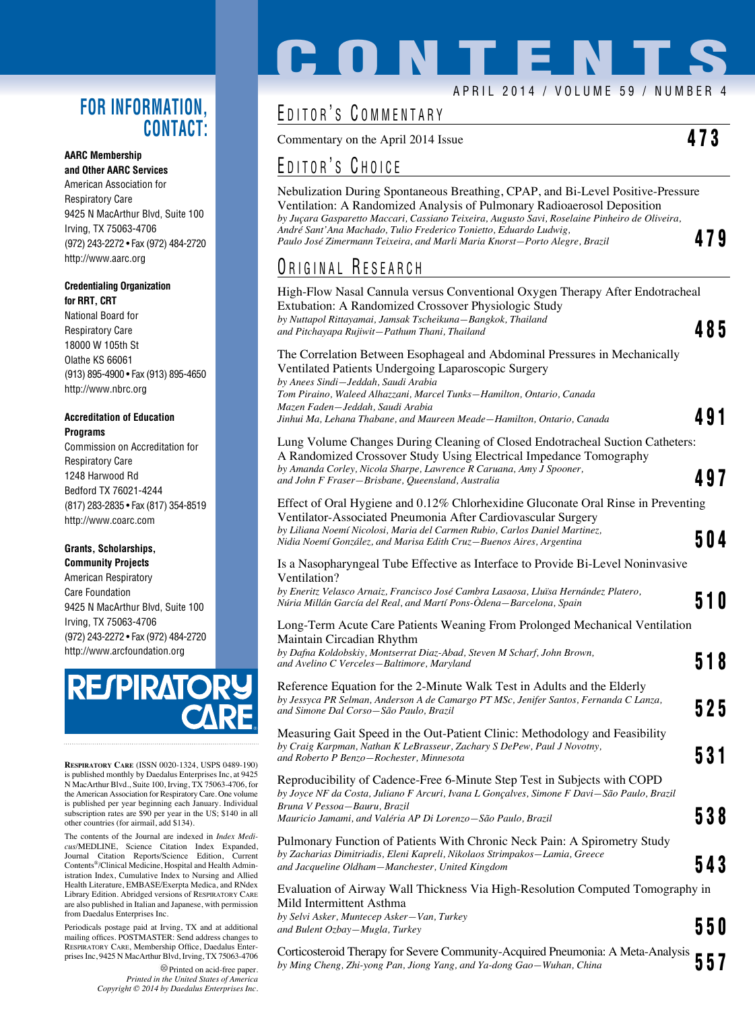#### **FOR INFORMATION, CONTACT:**

#### **AARC Membership and Other AARC Services**

American Association for Respiratory Care 9425 N MacArthur Blvd, Suite 100 Irving, TX 75063-4706 (972) 243-2272 • Fax (972) 484-2720 http://www.aarc.org

#### **Credentialing Organization for RRT, CRT**

National Board for Respiratory Care 18000 W 105th St Olathe KS 66061 (913) 895-4900 • Fax (913) 895-4650 http://www.nbrc.org

#### **Accreditation of Education Programs**

Commission on Accreditation for Respiratory Care 1248 Harwood Rd Bedford TX 76021-4244 (817) 283-2835 • Fax (817) 354-8519 http://www.coarc.com

#### **Grants, Scholarships,**

**Community Projects** American Respiratory Care Foundation 9425 N MacArthur Blvd, Suite 100 Irving, TX 75063-4706 (972) 243-2272 • Fax (972) 484-2720 http://www.arcfoundation.org



**Respiratory Care** (ISSN 0020-1324, USPS 0489-190) is published monthly by Daedalus Enterprises Inc, at 9425 N MacArthur Blvd., Suite 100, Irving, TX 75063-4706, for the American Association for Respiratory Care. One volume is published per year beginning each January. Individual subscription rates are \$90 per year in the US; \$140 in all other countries (for airmail, add \$134).

The contents of the Journal are indexed in *Index Medicus*/MEDLINE, Science Citation Index Expanded, Journal Citation Reports/Science Edition, Current Contents®/Clinical Medicine, Hospital and Health Administration Index, Cumulative Index to Nursing and Allied Health Literature, EMBASE/Exerpta Medica, and RNdex Library Edition. Abridged versions of Respiratory Care are also published in Italian and Japanese, with permission from Daedalus Enterprises Inc.

Periodicals postage paid at Irving, TX and at additional mailing offices. POSTMASTER: Send address changes to Respiratory Care, Membership Office, Daedalus Enterprises Inc, 9425 N MacArthur Blvd, Irving, TX 75063-4706

> Printed on acid-free paper. *Printed in the United States of America Copyright © 2014 by Daedalus Enterprises Inc.*

# **CONTENT** APRIL 2014 / VOLUME 59 / NUMBER 4

### EDITOR'S COMMENTARY

Commentary on the April 2014 Issue  $473$ 

#### EDITOR'S CHOICE

Nebulization During Spontaneous Breathing, CPAP, and Bi-Level Positive-Pressure Ventilation: A Randomized Analysis of Pulmonary Radioaerosol Deposition *by Juçara Gasparetto Maccari, Cassiano Teixeira, Augusto Savi, Roselaine Pinheiro de Oliveira, André Sant'Ana Machado, Tulio Frederico Tonietto, Eduardo Ludwig, Paulo José Zimermann Teixeira, and Marli Maria Knorst—Porto Alegre, Brazil* 479

#### ORIGINAL RESEARCH

| High-Flow Nasal Cannula versus Conventional Oxygen Therapy After Endotracheal<br>Extubation: A Randomized Crossover Physiologic Study<br>by Nuttapol Rittayamai, Jamsak Tscheikuna-Bangkok, Thailand        |     |  |
|-------------------------------------------------------------------------------------------------------------------------------------------------------------------------------------------------------------|-----|--|
| and Pitchayapa Rujiwit-Pathum Thani, Thailand                                                                                                                                                               | 485 |  |
| The Correlation Between Esophageal and Abdominal Pressures in Mechanically<br>Ventilated Patients Undergoing Laparoscopic Surgery<br>by Anees Sindi—Jeddah, Saudi Arabia                                    |     |  |
| Tom Piraino, Waleed Alhazzani, Marcel Tunks-Hamilton, Ontario, Canada<br>Mazen Faden–Jeddah, Saudi Arabia<br>Jinhui Ma, Lehana Thabane, and Maureen Meade—Hamilton, Ontario, Canada                         | 491 |  |
| Lung Volume Changes During Cleaning of Closed Endotracheal Suction Catheters:<br>A Randomized Crossover Study Using Electrical Impedance Tomography                                                         |     |  |
| by Amanda Corley, Nicola Sharpe, Lawrence R Caruana, Amy J Spooner,<br>and John F Fraser-Brisbane, Queensland, Australia                                                                                    | 497 |  |
| Effect of Oral Hygiene and 0.12% Chlorhexidine Gluconate Oral Rinse in Preventing<br>Ventilator-Associated Pneumonia After Cardiovascular Surgery                                                           |     |  |
| by Liliana Noemí Nicolosi, Maria del Carmen Rubio, Carlos Daniel Martinez,<br>Nidia Noemí González, and Marisa Edith Cruz-Buenos Aires, Argentina                                                           | 504 |  |
| Is a Nasopharyngeal Tube Effective as Interface to Provide Bi-Level Noninvasive<br>Ventilation?                                                                                                             |     |  |
| by Eneritz Velasco Arnaiz, Francisco José Cambra Lasaosa, Lluïsa Hernández Platero,<br>Núria Millán García del Real, and Martí Pons-Ódena–Barcelona, Spain                                                  | 510 |  |
| Long-Term Acute Care Patients Weaning From Prolonged Mechanical Ventilation<br>Maintain Circadian Rhythm                                                                                                    |     |  |
| by Dafna Koldobskiy, Montserrat Diaz-Abad, Steven M Scharf, John Brown,<br>and Avelino C Verceles-Baltimore, Maryland                                                                                       | 518 |  |
| Reference Equation for the 2-Minute Walk Test in Adults and the Elderly<br>by Jessyca PR Selman, Anderson A de Camargo PT MSc, Jenifer Santos, Fernanda C Lanza,<br>and Simone Dal Corso-São Paulo, Brazil  | 525 |  |
| Measuring Gait Speed in the Out-Patient Clinic: Methodology and Feasibility                                                                                                                                 |     |  |
| by Craig Karpman, Nathan K LeBrasseur, Zachary S DePew, Paul J Novotny,<br>and Roberto P Benzo-Rochester, Minnesota                                                                                         | 531 |  |
| Reproducibility of Cadence-Free 6-Minute Step Test in Subjects with COPD<br>by Joyce NF da Costa, Juliano F Arcuri, Ivana L Gonçalves, Simone F Davi-São Paulo, Brazil<br>Bruna V Pessoa-Bauru, Brazil      |     |  |
| Mauricio Jamami, and Valéria AP Di Lorenzo-São Paulo, Brazil                                                                                                                                                | 538 |  |
| Pulmonary Function of Patients With Chronic Neck Pain: A Spirometry Study<br>by Zacharias Dimitriadis, Eleni Kapreli, Nikolaos Strimpakos-Lamia, Greece<br>and Jacqueline Oldham—Manchester, United Kingdom | 543 |  |
| Evaluation of Airway Wall Thickness Via High-Resolution Computed Tomography in                                                                                                                              |     |  |
| Mild Intermittent Asthma                                                                                                                                                                                    |     |  |
| by Selvi Asker, Muntecep Asker-Van, Turkey<br>and Bulent Ozbay-Mugla, Turkey                                                                                                                                | 550 |  |
| Corticosteroid Therapy for Severe Community-Acquired Pneumonia: A Meta-Analysis<br>by Ming Cheng, Zhi-yong Pan, Jiong Yang, and Ya-dong Gao-Wuhan, China                                                    | 557 |  |